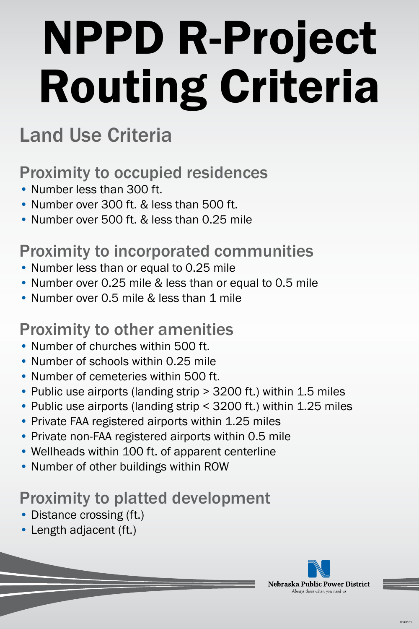# NPPD R-Project Routing Criteria

- Number less than 300 ft.
- Number over 300 ft. & less than 500 ft.
- Number over 500 ft. & less than 0.25 mile

### Land Use Criteria

#### Proximity to occupied residences

- Number less than or equal to 0.25 mile
- Number over 0.25 mile & less than or equal to 0.5 mile
- Number over 0.5 mile & less than 1 mile

### Proximity to incorporated communities

#### Proximity to other amenities

- Number of churches within 500 ft.
- Number of schools within 0.25 mile
- Number of cemeteries within 500 ft.
- Public use airports (landing strip > 3200 ft.) within 1.5 miles
- Public use airports (landing strip < 3200 ft.) within 1.25 miles
- Private FAA registered airports within 1.25 miles
- Private non-FAA registered airports within 0.5 mile
- Wellheads within 100 ft. of apparent centerline
- Number of other buildings within ROW

#### Proximity to platted development

- Distance crossing (ft.)
- Length adjacent (ft.)

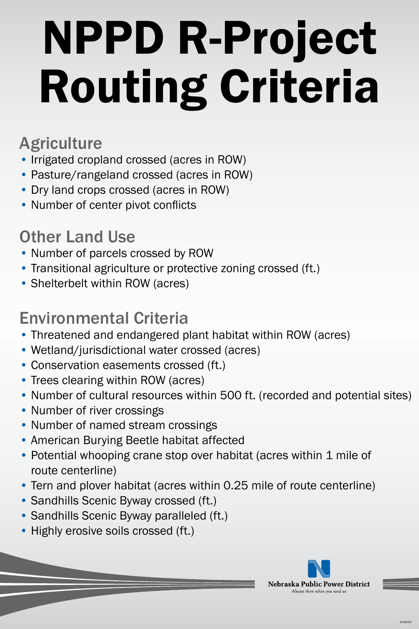# NPPD R-Project Routing Criteria

### Agriculture

- Irrigated cropland crossed (acres in ROW)
- Pasture/rangeland crossed (acres in ROW)
- Dry land crops crossed (acres in ROW)
- Number of center pivot conflicts

- Threatened and endangered plant habitat within ROW (acres)
- Wetland/jurisdictional water crossed (acres)
- Conservation easements crossed (ft.)
- Trees clearing within ROW (acres)
- Number of cultural resources within 500 ft. (recorded and potential sites)
- Number of river crossings
- Number of named stream crossings
- American Burying Beetle habitat affected
	- Potential whooping crane stop over habitat (acres within 1 mile of route centerline)
	- Tern and plover habitat (acres within 0.25 mile of route centerline)
	- Sandhills Scenic Byway crossed (ft.)
	- Sandhills Scenic Byway paralleled (ft.)
	- Highly erosive soils crossed (ft.)



### Other Land Use

- Number of parcels crossed by ROW
- Transitional agriculture or protective zoning crossed (ft.)
- Shelterbelt within ROW (acres)

### Environmental Criteria